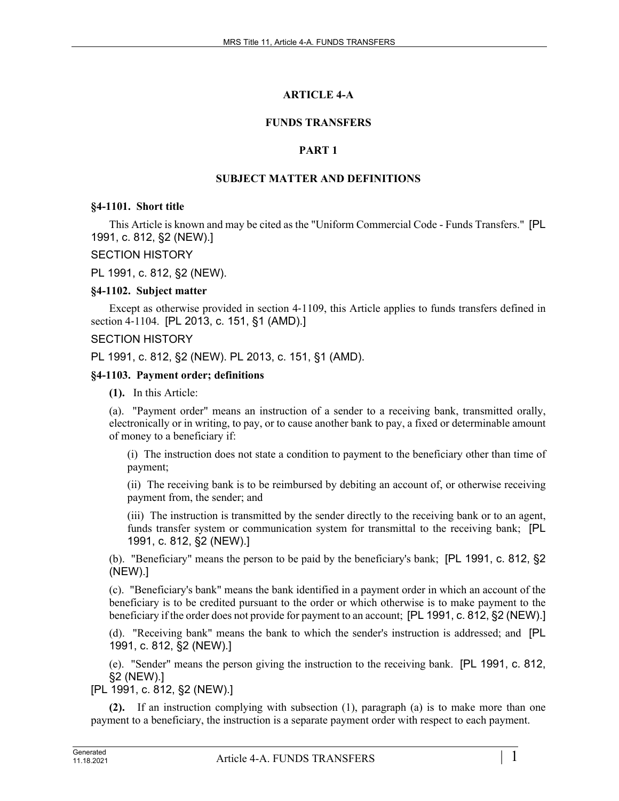# **ARTICLE 4-A**

# **FUNDS TRANSFERS**

# **PART 1**

# **SUBJECT MATTER AND DEFINITIONS**

#### **§4-1101. Short title**

This Article is known and may be cited as the "Uniform Commercial Code - Funds Transfers." [PL 1991, c. 812, §2 (NEW).]

# SECTION HISTORY

PL 1991, c. 812, §2 (NEW).

# **§4-1102. Subject matter**

Except as otherwise provided in section 4‑1109, this Article applies to funds transfers defined in section 4-1104. [PL 2013, c. 151, §1 (AMD).]

# SECTION HISTORY

PL 1991, c. 812, §2 (NEW). PL 2013, c. 151, §1 (AMD).

# **§4-1103. Payment order; definitions**

**(1).** In this Article:

(a). "Payment order" means an instruction of a sender to a receiving bank, transmitted orally, electronically or in writing, to pay, or to cause another bank to pay, a fixed or determinable amount of money to a beneficiary if:

(i) The instruction does not state a condition to payment to the beneficiary other than time of payment;

(ii) The receiving bank is to be reimbursed by debiting an account of, or otherwise receiving payment from, the sender; and

(iii) The instruction is transmitted by the sender directly to the receiving bank or to an agent, funds transfer system or communication system for transmittal to the receiving bank; [PL 1991, c. 812, §2 (NEW).]

(b). "Beneficiary" means the person to be paid by the beneficiary's bank; [PL 1991, c. 812, §2 (NEW).]

(c). "Beneficiary's bank" means the bank identified in a payment order in which an account of the beneficiary is to be credited pursuant to the order or which otherwise is to make payment to the beneficiary if the order does not provide for payment to an account; [PL 1991, c. 812, §2 (NEW).]

(d). "Receiving bank" means the bank to which the sender's instruction is addressed; and [PL 1991, c. 812, §2 (NEW).]

(e). "Sender" means the person giving the instruction to the receiving bank. [PL 1991, c. 812, §2 (NEW).]

[PL 1991, c. 812, §2 (NEW).]

**(2).** If an instruction complying with subsection (1), paragraph (a) is to make more than one payment to a beneficiary, the instruction is a separate payment order with respect to each payment.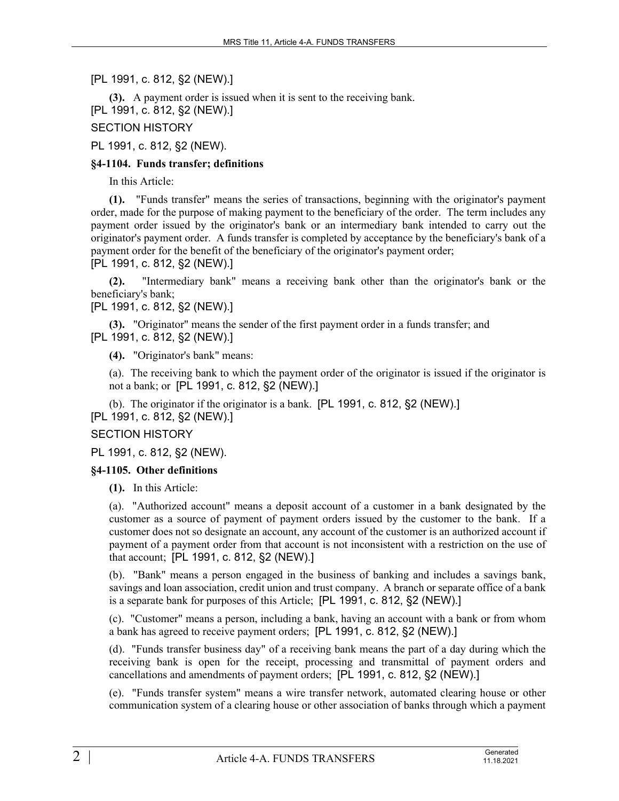[PL 1991, c. 812, §2 (NEW).]

**(3).** A payment order is issued when it is sent to the receiving bank. [PL 1991, c. 812, §2 (NEW).]

SECTION HISTORY

PL 1991, c. 812, §2 (NEW).

# **§4-1104. Funds transfer; definitions**

In this Article:

**(1).** "Funds transfer" means the series of transactions, beginning with the originator's payment order, made for the purpose of making payment to the beneficiary of the order. The term includes any payment order issued by the originator's bank or an intermediary bank intended to carry out the originator's payment order. A funds transfer is completed by acceptance by the beneficiary's bank of a payment order for the benefit of the beneficiary of the originator's payment order;

[PL 1991, c. 812, §2 (NEW).]

**(2).** "Intermediary bank" means a receiving bank other than the originator's bank or the beneficiary's bank;

[PL 1991, c. 812, §2 (NEW).]

**(3).** "Originator" means the sender of the first payment order in a funds transfer; and [PL 1991, c. 812, §2 (NEW).]

**(4).** "Originator's bank" means:

(a). The receiving bank to which the payment order of the originator is issued if the originator is not a bank; or [PL 1991, c. 812, §2 (NEW).]

(b). The originator if the originator is a bank. [PL 1991, c. 812, §2 (NEW).] [PL 1991, c. 812, §2 (NEW).]

# SECTION HISTORY

PL 1991, c. 812, §2 (NEW).

# **§4-1105. Other definitions**

**(1).** In this Article:

(a). "Authorized account" means a deposit account of a customer in a bank designated by the customer as a source of payment of payment orders issued by the customer to the bank. If a customer does not so designate an account, any account of the customer is an authorized account if payment of a payment order from that account is not inconsistent with a restriction on the use of that account; [PL 1991, c. 812, §2 (NEW).]

(b). "Bank" means a person engaged in the business of banking and includes a savings bank, savings and loan association, credit union and trust company. A branch or separate office of a bank is a separate bank for purposes of this Article; [PL 1991, c. 812, §2 (NEW).]

(c). "Customer" means a person, including a bank, having an account with a bank or from whom a bank has agreed to receive payment orders; [PL 1991, c. 812, §2 (NEW).]

(d). "Funds transfer business day" of a receiving bank means the part of a day during which the receiving bank is open for the receipt, processing and transmittal of payment orders and cancellations and amendments of payment orders; [PL 1991, c. 812, §2 (NEW).]

(e). "Funds transfer system" means a wire transfer network, automated clearing house or other communication system of a clearing house or other association of banks through which a payment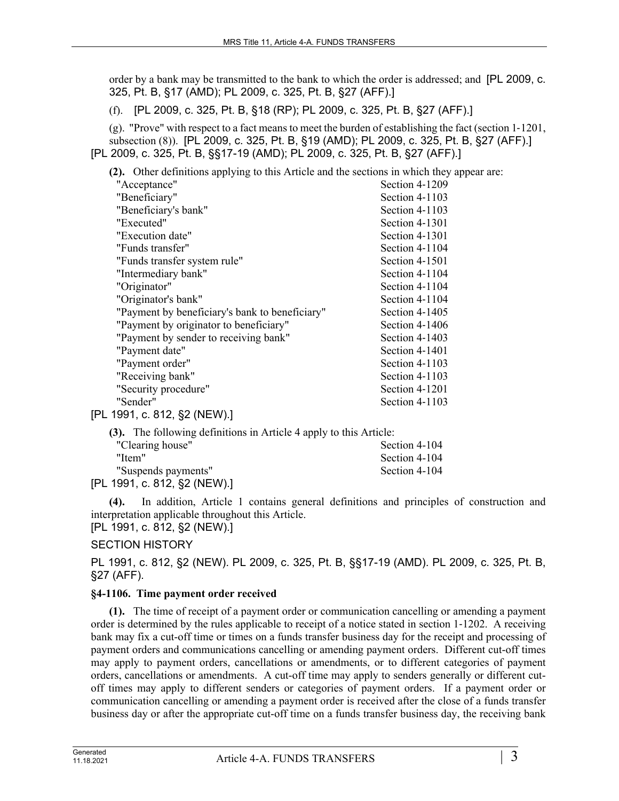order by a bank may be transmitted to the bank to which the order is addressed; and [PL 2009, c. 325, Pt. B, §17 (AMD); PL 2009, c. 325, Pt. B, §27 (AFF).]

(f). [PL 2009, c. 325, Pt. B, §18 (RP); PL 2009, c. 325, Pt. B, §27 (AFF).]

(g). "Prove" with respect to a fact means to meet the burden of establishing the fact (section 1‑1201, subsection (8)). [PL 2009, c. 325, Pt. B, §19 (AMD); PL 2009, c. 325, Pt. B, §27 (AFF).] [PL 2009, c. 325, Pt. B, §§17-19 (AMD); PL 2009, c. 325, Pt. B, §27 (AFF).]

**(2).** Other definitions applying to this Article and the sections in which they appear are:

| "Acceptance"                                   | Section 4-1209 |
|------------------------------------------------|----------------|
| "Beneficiary"                                  | Section 4-1103 |
| "Beneficiary's bank"                           | Section 4-1103 |
| "Executed"                                     | Section 4-1301 |
| "Execution date"                               | Section 4-1301 |
| "Funds transfer"                               | Section 4-1104 |
| "Funds transfer system rule"                   | Section 4-1501 |
| "Intermediary bank"                            | Section 4-1104 |
| "Originator"                                   | Section 4-1104 |
| "Originator's bank"                            | Section 4-1104 |
| "Payment by beneficiary's bank to beneficiary" | Section 4-1405 |
| "Payment by originator to beneficiary"         | Section 4-1406 |
| "Payment by sender to receiving bank"          | Section 4-1403 |
| "Payment date"                                 | Section 4-1401 |
| "Payment order"                                | Section 4-1103 |
| "Receiving bank"                               | Section 4-1103 |
| "Security procedure"                           | Section 4-1201 |
| "Sender"                                       | Section 4-1103 |
| [PL 1991, c. 812, §2 (NEW).]                   |                |

**(3).** The following definitions in Article 4 apply to this Article: "Clearing house" Section 4-104 "Item" Section 4-104 "Suspends payments" Section 4-104

[PL 1991, c. 812, §2 (NEW).]

**(4).** In addition, Article 1 contains general definitions and principles of construction and interpretation applicable throughout this Article. [PL 1991, c. 812, §2 (NEW).]

# SECTION HISTORY

PL 1991, c. 812, §2 (NEW). PL 2009, c. 325, Pt. B, §§17-19 (AMD). PL 2009, c. 325, Pt. B, §27 (AFF).

# **§4-1106. Time payment order received**

**(1).** The time of receipt of a payment order or communication cancelling or amending a payment order is determined by the rules applicable to receipt of a notice stated in section 1‑1202. A receiving bank may fix a cut-off time or times on a funds transfer business day for the receipt and processing of payment orders and communications cancelling or amending payment orders. Different cut-off times may apply to payment orders, cancellations or amendments, or to different categories of payment orders, cancellations or amendments. A cut-off time may apply to senders generally or different cutoff times may apply to different senders or categories of payment orders. If a payment order or communication cancelling or amending a payment order is received after the close of a funds transfer business day or after the appropriate cut-off time on a funds transfer business day, the receiving bank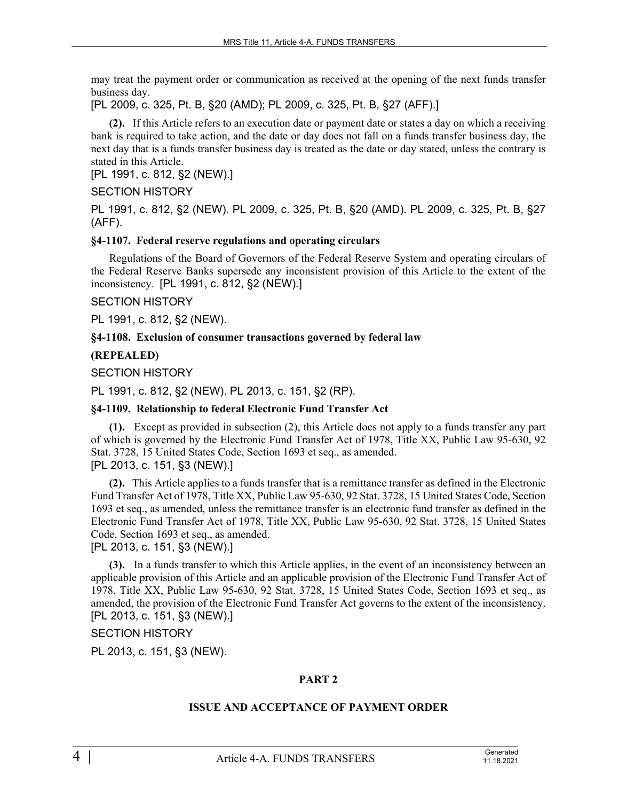may treat the payment order or communication as received at the opening of the next funds transfer business day.

[PL 2009, c. 325, Pt. B, §20 (AMD); PL 2009, c. 325, Pt. B, §27 (AFF).]

**(2).** If this Article refers to an execution date or payment date or states a day on which a receiving bank is required to take action, and the date or day does not fall on a funds transfer business day, the next day that is a funds transfer business day is treated as the date or day stated, unless the contrary is stated in this Article.

[PL 1991, c. 812, §2 (NEW).]

# SECTION HISTORY

PL 1991, c. 812, §2 (NEW). PL 2009, c. 325, Pt. B, §20 (AMD). PL 2009, c. 325, Pt. B, §27 (AFF).

# **§4-1107. Federal reserve regulations and operating circulars**

Regulations of the Board of Governors of the Federal Reserve System and operating circulars of the Federal Reserve Banks supersede any inconsistent provision of this Article to the extent of the inconsistency. [PL 1991, c. 812, §2 (NEW).]

# SECTION HISTORY

PL 1991, c. 812, §2 (NEW).

# **§4-1108. Exclusion of consumer transactions governed by federal law**

# **(REPEALED)**

SECTION HISTORY

PL 1991, c. 812, §2 (NEW). PL 2013, c. 151, §2 (RP).

# **§4-1109. Relationship to federal Electronic Fund Transfer Act**

**(1).** Except as provided in subsection (2), this Article does not apply to a funds transfer any part of which is governed by the Electronic Fund Transfer Act of 1978, Title XX, Public Law 95-630, 92 Stat. 3728, 15 United States Code, Section 1693 et seq., as amended. [PL 2013, c. 151, §3 (NEW).]

**(2).** This Article applies to a funds transfer that is a remittance transfer as defined in the Electronic Fund Transfer Act of 1978, Title XX, Public Law 95-630, 92 Stat. 3728, 15 United States Code, Section 1693 et seq., as amended, unless the remittance transfer is an electronic fund transfer as defined in the Electronic Fund Transfer Act of 1978, Title XX, Public Law 95-630, 92 Stat. 3728, 15 United States Code, Section 1693 et seq., as amended.

[PL 2013, c. 151, §3 (NEW).]

**(3).** In a funds transfer to which this Article applies, in the event of an inconsistency between an applicable provision of this Article and an applicable provision of the Electronic Fund Transfer Act of 1978, Title XX, Public Law 95-630, 92 Stat. 3728, 15 United States Code, Section 1693 et seq., as amended, the provision of the Electronic Fund Transfer Act governs to the extent of the inconsistency. [PL 2013, c. 151, §3 (NEW).]

# SECTION HISTORY

PL 2013, c. 151, §3 (NEW).

# **PART 2**

#### **ISSUE AND ACCEPTANCE OF PAYMENT ORDER**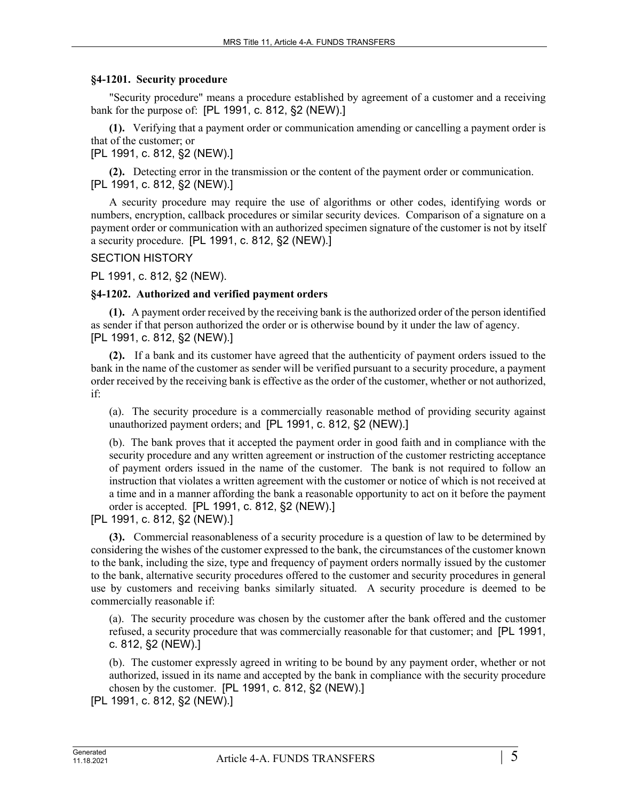#### **§4-1201. Security procedure**

"Security procedure" means a procedure established by agreement of a customer and a receiving bank for the purpose of: [PL 1991, c. 812, §2 (NEW).]

**(1).** Verifying that a payment order or communication amending or cancelling a payment order is that of the customer; or

[PL 1991, c. 812, §2 (NEW).]

**(2).** Detecting error in the transmission or the content of the payment order or communication. [PL 1991, c. 812, §2 (NEW).]

A security procedure may require the use of algorithms or other codes, identifying words or numbers, encryption, callback procedures or similar security devices. Comparison of a signature on a payment order or communication with an authorized specimen signature of the customer is not by itself a security procedure. [PL 1991, c. 812, §2 (NEW).]

#### SECTION HISTORY

PL 1991, c. 812, §2 (NEW).

#### **§4-1202. Authorized and verified payment orders**

**(1).** A payment order received by the receiving bank is the authorized order of the person identified as sender if that person authorized the order or is otherwise bound by it under the law of agency. [PL 1991, c. 812, §2 (NEW).]

**(2).** If a bank and its customer have agreed that the authenticity of payment orders issued to the bank in the name of the customer as sender will be verified pursuant to a security procedure, a payment order received by the receiving bank is effective as the order of the customer, whether or not authorized, if:

(a). The security procedure is a commercially reasonable method of providing security against unauthorized payment orders; and [PL 1991, c. 812, §2 (NEW).]

(b). The bank proves that it accepted the payment order in good faith and in compliance with the security procedure and any written agreement or instruction of the customer restricting acceptance of payment orders issued in the name of the customer. The bank is not required to follow an instruction that violates a written agreement with the customer or notice of which is not received at a time and in a manner affording the bank a reasonable opportunity to act on it before the payment order is accepted. [PL 1991, c. 812, §2 (NEW).]

[PL 1991, c. 812, §2 (NEW).]

**(3).** Commercial reasonableness of a security procedure is a question of law to be determined by considering the wishes of the customer expressed to the bank, the circumstances of the customer known to the bank, including the size, type and frequency of payment orders normally issued by the customer to the bank, alternative security procedures offered to the customer and security procedures in general use by customers and receiving banks similarly situated. A security procedure is deemed to be commercially reasonable if:

(a). The security procedure was chosen by the customer after the bank offered and the customer refused, a security procedure that was commercially reasonable for that customer; and [PL 1991, c. 812, §2 (NEW).]

(b). The customer expressly agreed in writing to be bound by any payment order, whether or not authorized, issued in its name and accepted by the bank in compliance with the security procedure chosen by the customer. [PL 1991, c. 812, §2 (NEW).]

[PL 1991, c. 812, §2 (NEW).]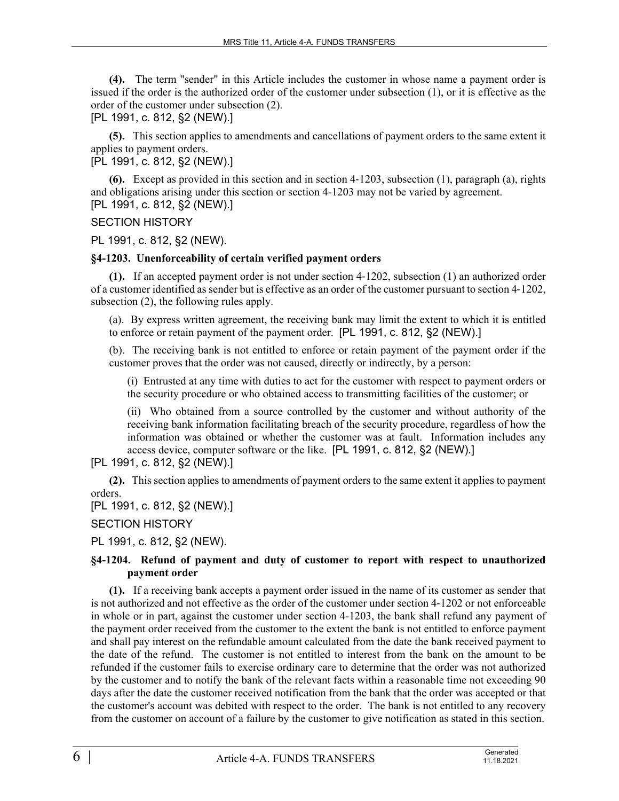**(4).** The term "sender" in this Article includes the customer in whose name a payment order is issued if the order is the authorized order of the customer under subsection (1), or it is effective as the order of the customer under subsection (2).

[PL 1991, c. 812, §2 (NEW).]

**(5).** This section applies to amendments and cancellations of payment orders to the same extent it applies to payment orders.

[PL 1991, c. 812, §2 (NEW).]

**(6).** Except as provided in this section and in section 4‑1203, subsection (1), paragraph (a), rights and obligations arising under this section or section 4-1203 may not be varied by agreement. [PL 1991, c. 812, §2 (NEW).]

SECTION HISTORY

PL 1991, c. 812, §2 (NEW).

# **§4-1203. Unenforceability of certain verified payment orders**

**(1).** If an accepted payment order is not under section 4‑1202, subsection (1) an authorized order of a customer identified as sender but is effective as an order of the customer pursuant to section 4‑1202, subsection (2), the following rules apply.

(a). By express written agreement, the receiving bank may limit the extent to which it is entitled to enforce or retain payment of the payment order. [PL 1991, c. 812, §2 (NEW).]

(b). The receiving bank is not entitled to enforce or retain payment of the payment order if the customer proves that the order was not caused, directly or indirectly, by a person:

(i) Entrusted at any time with duties to act for the customer with respect to payment orders or the security procedure or who obtained access to transmitting facilities of the customer; or

(ii) Who obtained from a source controlled by the customer and without authority of the receiving bank information facilitating breach of the security procedure, regardless of how the information was obtained or whether the customer was at fault. Information includes any access device, computer software or the like. [PL 1991, c. 812, §2 (NEW).]

[PL 1991, c. 812, §2 (NEW).]

**(2).** This section applies to amendments of payment orders to the same extent it applies to payment orders.

[PL 1991, c. 812, §2 (NEW).]

SECTION HISTORY

PL 1991, c. 812, §2 (NEW).

# **§4-1204. Refund of payment and duty of customer to report with respect to unauthorized payment order**

**(1).** If a receiving bank accepts a payment order issued in the name of its customer as sender that is not authorized and not effective as the order of the customer under section 4‑1202 or not enforceable in whole or in part, against the customer under section 4-1203, the bank shall refund any payment of the payment order received from the customer to the extent the bank is not entitled to enforce payment and shall pay interest on the refundable amount calculated from the date the bank received payment to the date of the refund. The customer is not entitled to interest from the bank on the amount to be refunded if the customer fails to exercise ordinary care to determine that the order was not authorized by the customer and to notify the bank of the relevant facts within a reasonable time not exceeding 90 days after the date the customer received notification from the bank that the order was accepted or that the customer's account was debited with respect to the order. The bank is not entitled to any recovery from the customer on account of a failure by the customer to give notification as stated in this section.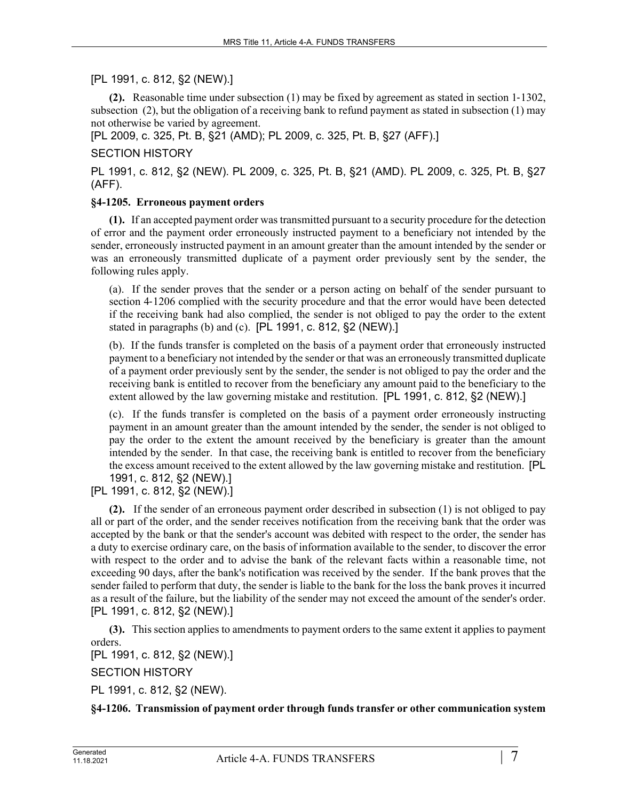# [PL 1991, c. 812, §2 (NEW).]

**(2).** Reasonable time under subsection (1) may be fixed by agreement as stated in section 1‑1302, subsection (2), but the obligation of a receiving bank to refund payment as stated in subsection (1) may not otherwise be varied by agreement.

[PL 2009, c. 325, Pt. B, §21 (AMD); PL 2009, c. 325, Pt. B, §27 (AFF).]

#### SECTION HISTORY

PL 1991, c. 812, §2 (NEW). PL 2009, c. 325, Pt. B, §21 (AMD). PL 2009, c. 325, Pt. B, §27 (AFF).

#### **§4-1205. Erroneous payment orders**

**(1).** If an accepted payment order was transmitted pursuant to a security procedure for the detection of error and the payment order erroneously instructed payment to a beneficiary not intended by the sender, erroneously instructed payment in an amount greater than the amount intended by the sender or was an erroneously transmitted duplicate of a payment order previously sent by the sender, the following rules apply.

(a). If the sender proves that the sender or a person acting on behalf of the sender pursuant to section 4–1206 complied with the security procedure and that the error would have been detected if the receiving bank had also complied, the sender is not obliged to pay the order to the extent stated in paragraphs (b) and (c). [PL 1991, c. 812, §2 (NEW).]

(b). If the funds transfer is completed on the basis of a payment order that erroneously instructed payment to a beneficiary not intended by the sender or that was an erroneously transmitted duplicate of a payment order previously sent by the sender, the sender is not obliged to pay the order and the receiving bank is entitled to recover from the beneficiary any amount paid to the beneficiary to the extent allowed by the law governing mistake and restitution. [PL 1991, c. 812, §2 (NEW).]

(c). If the funds transfer is completed on the basis of a payment order erroneously instructing payment in an amount greater than the amount intended by the sender, the sender is not obliged to pay the order to the extent the amount received by the beneficiary is greater than the amount intended by the sender. In that case, the receiving bank is entitled to recover from the beneficiary the excess amount received to the extent allowed by the law governing mistake and restitution. [PL 1991, c. 812, §2 (NEW).]

[PL 1991, c. 812, §2 (NEW).]

**(2).** If the sender of an erroneous payment order described in subsection (1) is not obliged to pay all or part of the order, and the sender receives notification from the receiving bank that the order was accepted by the bank or that the sender's account was debited with respect to the order, the sender has a duty to exercise ordinary care, on the basis of information available to the sender, to discover the error with respect to the order and to advise the bank of the relevant facts within a reasonable time, not exceeding 90 days, after the bank's notification was received by the sender. If the bank proves that the sender failed to perform that duty, the sender is liable to the bank for the loss the bank proves it incurred as a result of the failure, but the liability of the sender may not exceed the amount of the sender's order. [PL 1991, c. 812, §2 (NEW).]

**(3).** This section applies to amendments to payment orders to the same extent it applies to payment orders.

[PL 1991, c. 812, §2 (NEW).]

SECTION HISTORY

PL 1991, c. 812, §2 (NEW).

**§4-1206. Transmission of payment order through funds transfer or other communication system**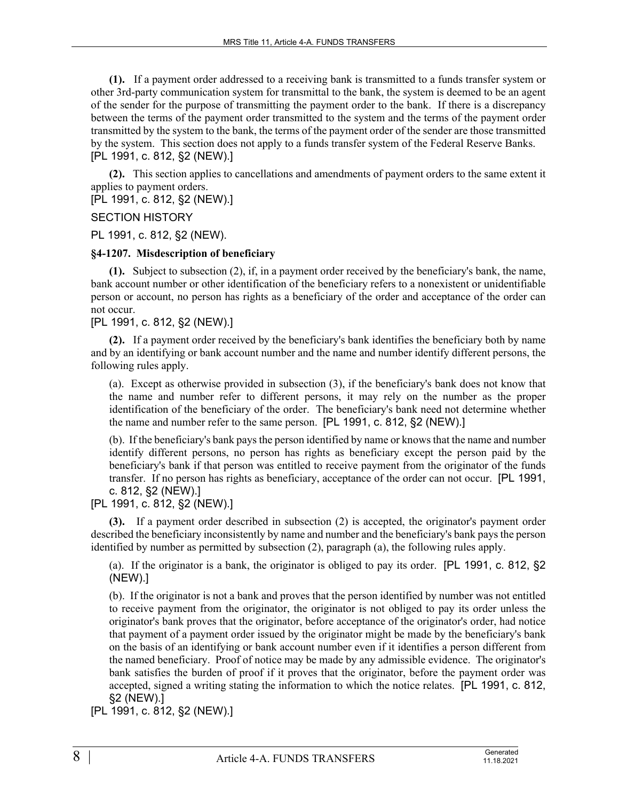**(1).** If a payment order addressed to a receiving bank is transmitted to a funds transfer system or other 3rd-party communication system for transmittal to the bank, the system is deemed to be an agent of the sender for the purpose of transmitting the payment order to the bank. If there is a discrepancy between the terms of the payment order transmitted to the system and the terms of the payment order transmitted by the system to the bank, the terms of the payment order of the sender are those transmitted by the system. This section does not apply to a funds transfer system of the Federal Reserve Banks. [PL 1991, c. 812, §2 (NEW).]

**(2).** This section applies to cancellations and amendments of payment orders to the same extent it applies to payment orders.

[PL 1991, c. 812, §2 (NEW).]

SECTION HISTORY

PL 1991, c. 812, §2 (NEW).

# **§4-1207. Misdescription of beneficiary**

**(1).** Subject to subsection (2), if, in a payment order received by the beneficiary's bank, the name, bank account number or other identification of the beneficiary refers to a nonexistent or unidentifiable person or account, no person has rights as a beneficiary of the order and acceptance of the order can not occur.

[PL 1991, c. 812, §2 (NEW).]

**(2).** If a payment order received by the beneficiary's bank identifies the beneficiary both by name and by an identifying or bank account number and the name and number identify different persons, the following rules apply.

(a). Except as otherwise provided in subsection (3), if the beneficiary's bank does not know that the name and number refer to different persons, it may rely on the number as the proper identification of the beneficiary of the order. The beneficiary's bank need not determine whether the name and number refer to the same person. [PL 1991, c. 812, §2 (NEW).]

(b). If the beneficiary's bank pays the person identified by name or knows that the name and number identify different persons, no person has rights as beneficiary except the person paid by the beneficiary's bank if that person was entitled to receive payment from the originator of the funds transfer. If no person has rights as beneficiary, acceptance of the order can not occur. [PL 1991, c. 812, §2 (NEW).]

[PL 1991, c. 812, §2 (NEW).]

**(3).** If a payment order described in subsection (2) is accepted, the originator's payment order described the beneficiary inconsistently by name and number and the beneficiary's bank pays the person identified by number as permitted by subsection (2), paragraph (a), the following rules apply.

(a). If the originator is a bank, the originator is obliged to pay its order. [PL 1991, c. 812, §2 (NEW).]

(b). If the originator is not a bank and proves that the person identified by number was not entitled to receive payment from the originator, the originator is not obliged to pay its order unless the originator's bank proves that the originator, before acceptance of the originator's order, had notice that payment of a payment order issued by the originator might be made by the beneficiary's bank on the basis of an identifying or bank account number even if it identifies a person different from the named beneficiary. Proof of notice may be made by any admissible evidence. The originator's bank satisfies the burden of proof if it proves that the originator, before the payment order was accepted, signed a writing stating the information to which the notice relates. [PL 1991, c. 812, §2 (NEW).]

[PL 1991, c. 812, §2 (NEW).]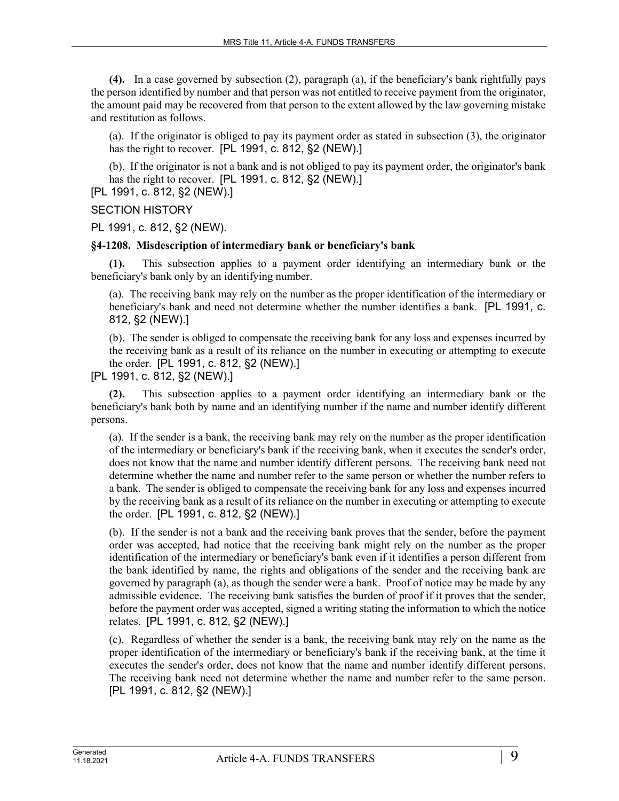**(4).** In a case governed by subsection (2), paragraph (a), if the beneficiary's bank rightfully pays the person identified by number and that person was not entitled to receive payment from the originator, the amount paid may be recovered from that person to the extent allowed by the law governing mistake and restitution as follows.

(a). If the originator is obliged to pay its payment order as stated in subsection (3), the originator has the right to recover. [PL 1991, c. 812, §2 (NEW).]

(b). If the originator is not a bank and is not obliged to pay its payment order, the originator's bank has the right to recover. [PL 1991, c. 812, §2 (NEW).]

[PL 1991, c. 812, §2 (NEW).]

#### SECTION HISTORY

PL 1991, c. 812, §2 (NEW).

#### **§4-1208. Misdescription of intermediary bank or beneficiary's bank**

**(1).** This subsection applies to a payment order identifying an intermediary bank or the beneficiary's bank only by an identifying number.

(a). The receiving bank may rely on the number as the proper identification of the intermediary or beneficiary's bank and need not determine whether the number identifies a bank. [PL 1991, c. 812, §2 (NEW).]

(b). The sender is obliged to compensate the receiving bank for any loss and expenses incurred by the receiving bank as a result of its reliance on the number in executing or attempting to execute the order. [PL 1991, c. 812, §2 (NEW).]

[PL 1991, c. 812, §2 (NEW).]

**(2).** This subsection applies to a payment order identifying an intermediary bank or the beneficiary's bank both by name and an identifying number if the name and number identify different persons.

(a). If the sender is a bank, the receiving bank may rely on the number as the proper identification of the intermediary or beneficiary's bank if the receiving bank, when it executes the sender's order, does not know that the name and number identify different persons. The receiving bank need not determine whether the name and number refer to the same person or whether the number refers to a bank. The sender is obliged to compensate the receiving bank for any loss and expenses incurred by the receiving bank as a result of its reliance on the number in executing or attempting to execute the order. [PL 1991, c. 812, §2 (NEW).]

(b). If the sender is not a bank and the receiving bank proves that the sender, before the payment order was accepted, had notice that the receiving bank might rely on the number as the proper identification of the intermediary or beneficiary's bank even if it identifies a person different from the bank identified by name, the rights and obligations of the sender and the receiving bank are governed by paragraph (a), as though the sender were a bank. Proof of notice may be made by any admissible evidence. The receiving bank satisfies the burden of proof if it proves that the sender, before the payment order was accepted, signed a writing stating the information to which the notice relates. [PL 1991, c. 812, §2 (NEW).]

(c). Regardless of whether the sender is a bank, the receiving bank may rely on the name as the proper identification of the intermediary or beneficiary's bank if the receiving bank, at the time it executes the sender's order, does not know that the name and number identify different persons. The receiving bank need not determine whether the name and number refer to the same person. [PL 1991, c. 812, §2 (NEW).]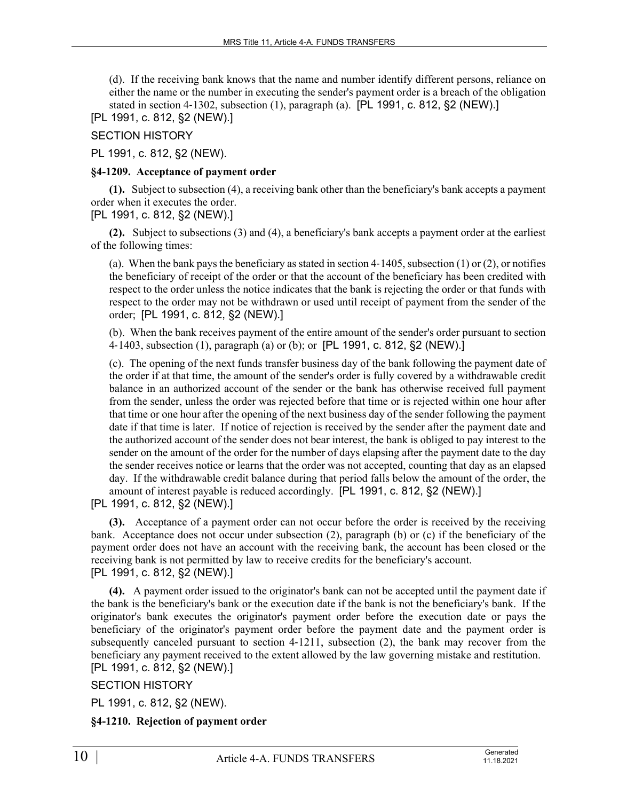(d). If the receiving bank knows that the name and number identify different persons, reliance on either the name or the number in executing the sender's payment order is a breach of the obligation stated in section 4-1302, subsection  $(1)$ , paragraph  $(a)$ . [PL 1991, c. 812, §2 (NEW).]

[PL 1991, c. 812, §2 (NEW).]

SECTION HISTORY

PL 1991, c. 812, §2 (NEW).

#### **§4-1209. Acceptance of payment order**

**(1).** Subject to subsection (4), a receiving bank other than the beneficiary's bank accepts a payment order when it executes the order.

[PL 1991, c. 812, §2 (NEW).]

**(2).** Subject to subsections (3) and (4), a beneficiary's bank accepts a payment order at the earliest of the following times:

(a). When the bank pays the beneficiary as stated in section  $4-1405$ , subsection (1) or (2), or notifies the beneficiary of receipt of the order or that the account of the beneficiary has been credited with respect to the order unless the notice indicates that the bank is rejecting the order or that funds with respect to the order may not be withdrawn or used until receipt of payment from the sender of the order; [PL 1991, c. 812, §2 (NEW).]

(b). When the bank receives payment of the entire amount of the sender's order pursuant to section 4‑1403, subsection (1), paragraph (a) or (b); or [PL 1991, c. 812, §2 (NEW).]

(c). The opening of the next funds transfer business day of the bank following the payment date of the order if at that time, the amount of the sender's order is fully covered by a withdrawable credit balance in an authorized account of the sender or the bank has otherwise received full payment from the sender, unless the order was rejected before that time or is rejected within one hour after that time or one hour after the opening of the next business day of the sender following the payment date if that time is later. If notice of rejection is received by the sender after the payment date and the authorized account of the sender does not bear interest, the bank is obliged to pay interest to the sender on the amount of the order for the number of days elapsing after the payment date to the day the sender receives notice or learns that the order was not accepted, counting that day as an elapsed day. If the withdrawable credit balance during that period falls below the amount of the order, the amount of interest payable is reduced accordingly. [PL 1991, c. 812, §2 (NEW).]

[PL 1991, c. 812, §2 (NEW).]

**(3).** Acceptance of a payment order can not occur before the order is received by the receiving bank. Acceptance does not occur under subsection (2), paragraph (b) or (c) if the beneficiary of the payment order does not have an account with the receiving bank, the account has been closed or the receiving bank is not permitted by law to receive credits for the beneficiary's account. [PL 1991, c. 812, §2 (NEW).]

**(4).** A payment order issued to the originator's bank can not be accepted until the payment date if the bank is the beneficiary's bank or the execution date if the bank is not the beneficiary's bank. If the originator's bank executes the originator's payment order before the execution date or pays the beneficiary of the originator's payment order before the payment date and the payment order is subsequently canceled pursuant to section 4–1211, subsection (2), the bank may recover from the beneficiary any payment received to the extent allowed by the law governing mistake and restitution. [PL 1991, c. 812, §2 (NEW).]

SECTION HISTORY

PL 1991, c. 812, §2 (NEW).

# **§4-1210. Rejection of payment order**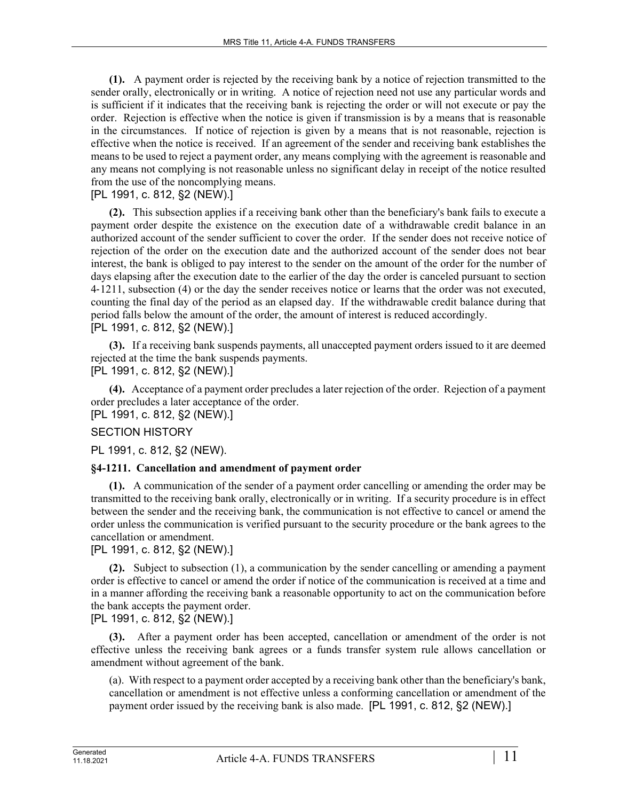**(1).** A payment order is rejected by the receiving bank by a notice of rejection transmitted to the sender orally, electronically or in writing. A notice of rejection need not use any particular words and is sufficient if it indicates that the receiving bank is rejecting the order or will not execute or pay the order. Rejection is effective when the notice is given if transmission is by a means that is reasonable in the circumstances. If notice of rejection is given by a means that is not reasonable, rejection is effective when the notice is received. If an agreement of the sender and receiving bank establishes the means to be used to reject a payment order, any means complying with the agreement is reasonable and any means not complying is not reasonable unless no significant delay in receipt of the notice resulted from the use of the noncomplying means.

# [PL 1991, c. 812, §2 (NEW).]

**(2).** This subsection applies if a receiving bank other than the beneficiary's bank fails to execute a payment order despite the existence on the execution date of a withdrawable credit balance in an authorized account of the sender sufficient to cover the order. If the sender does not receive notice of rejection of the order on the execution date and the authorized account of the sender does not bear interest, the bank is obliged to pay interest to the sender on the amount of the order for the number of days elapsing after the execution date to the earlier of the day the order is canceled pursuant to section 4‑1211, subsection (4) or the day the sender receives notice or learns that the order was not executed, counting the final day of the period as an elapsed day. If the withdrawable credit balance during that period falls below the amount of the order, the amount of interest is reduced accordingly. [PL 1991, c. 812, §2 (NEW).]

**(3).** If a receiving bank suspends payments, all unaccepted payment orders issued to it are deemed rejected at the time the bank suspends payments.

[PL 1991, c. 812, §2 (NEW).]

**(4).** Acceptance of a payment order precludes a later rejection of the order. Rejection of a payment order precludes a later acceptance of the order.

[PL 1991, c. 812, §2 (NEW).]

#### SECTION HISTORY

PL 1991, c. 812, §2 (NEW).

#### **§4-1211. Cancellation and amendment of payment order**

**(1).** A communication of the sender of a payment order cancelling or amending the order may be transmitted to the receiving bank orally, electronically or in writing. If a security procedure is in effect between the sender and the receiving bank, the communication is not effective to cancel or amend the order unless the communication is verified pursuant to the security procedure or the bank agrees to the cancellation or amendment.

# [PL 1991, c. 812, §2 (NEW).]

**(2).** Subject to subsection (1), a communication by the sender cancelling or amending a payment order is effective to cancel or amend the order if notice of the communication is received at a time and in a manner affording the receiving bank a reasonable opportunity to act on the communication before the bank accepts the payment order.

[PL 1991, c. 812, §2 (NEW).]

**(3).** After a payment order has been accepted, cancellation or amendment of the order is not effective unless the receiving bank agrees or a funds transfer system rule allows cancellation or amendment without agreement of the bank.

(a). With respect to a payment order accepted by a receiving bank other than the beneficiary's bank, cancellation or amendment is not effective unless a conforming cancellation or amendment of the payment order issued by the receiving bank is also made. [PL 1991, c. 812, §2 (NEW).]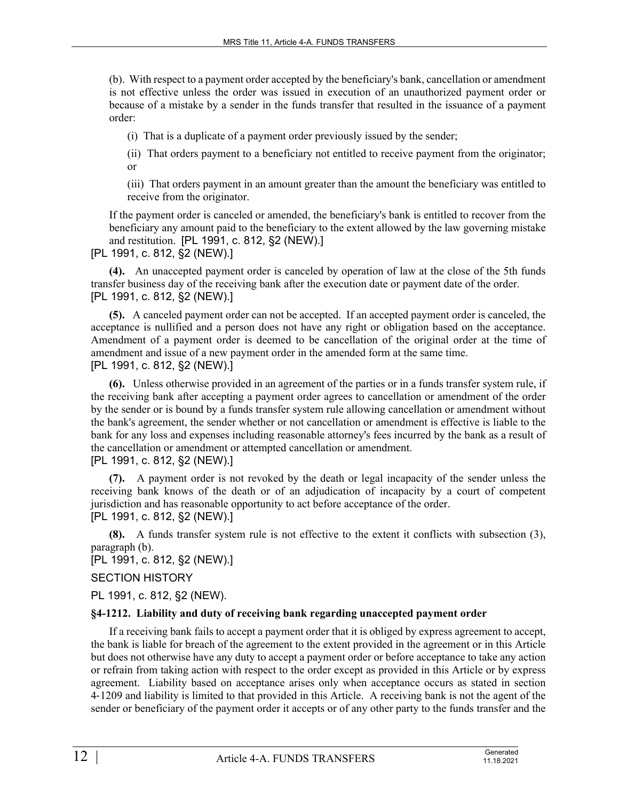(b). With respect to a payment order accepted by the beneficiary's bank, cancellation or amendment is not effective unless the order was issued in execution of an unauthorized payment order or because of a mistake by a sender in the funds transfer that resulted in the issuance of a payment order:

(i) That is a duplicate of a payment order previously issued by the sender;

(ii) That orders payment to a beneficiary not entitled to receive payment from the originator; or

(iii) That orders payment in an amount greater than the amount the beneficiary was entitled to receive from the originator.

If the payment order is canceled or amended, the beneficiary's bank is entitled to recover from the beneficiary any amount paid to the beneficiary to the extent allowed by the law governing mistake and restitution. [PL 1991, c. 812, §2 (NEW).]

[PL 1991, c. 812, §2 (NEW).]

**(4).** An unaccepted payment order is canceled by operation of law at the close of the 5th funds transfer business day of the receiving bank after the execution date or payment date of the order. [PL 1991, c. 812, §2 (NEW).]

**(5).** A canceled payment order can not be accepted. If an accepted payment order is canceled, the acceptance is nullified and a person does not have any right or obligation based on the acceptance. Amendment of a payment order is deemed to be cancellation of the original order at the time of amendment and issue of a new payment order in the amended form at the same time. [PL 1991, c. 812, §2 (NEW).]

**(6).** Unless otherwise provided in an agreement of the parties or in a funds transfer system rule, if the receiving bank after accepting a payment order agrees to cancellation or amendment of the order by the sender or is bound by a funds transfer system rule allowing cancellation or amendment without the bank's agreement, the sender whether or not cancellation or amendment is effective is liable to the bank for any loss and expenses including reasonable attorney's fees incurred by the bank as a result of the cancellation or amendment or attempted cancellation or amendment.

[PL 1991, c. 812, §2 (NEW).]

**(7).** A payment order is not revoked by the death or legal incapacity of the sender unless the receiving bank knows of the death or of an adjudication of incapacity by a court of competent jurisdiction and has reasonable opportunity to act before acceptance of the order.

[PL 1991, c. 812, §2 (NEW).]

**(8).** A funds transfer system rule is not effective to the extent it conflicts with subsection (3), paragraph (b).

[PL 1991, c. 812, §2 (NEW).]

# SECTION HISTORY

PL 1991, c. 812, §2 (NEW).

#### **§4-1212. Liability and duty of receiving bank regarding unaccepted payment order**

If a receiving bank fails to accept a payment order that it is obliged by express agreement to accept, the bank is liable for breach of the agreement to the extent provided in the agreement or in this Article but does not otherwise have any duty to accept a payment order or before acceptance to take any action or refrain from taking action with respect to the order except as provided in this Article or by express agreement. Liability based on acceptance arises only when acceptance occurs as stated in section 4‑1209 and liability is limited to that provided in this Article. A receiving bank is not the agent of the sender or beneficiary of the payment order it accepts or of any other party to the funds transfer and the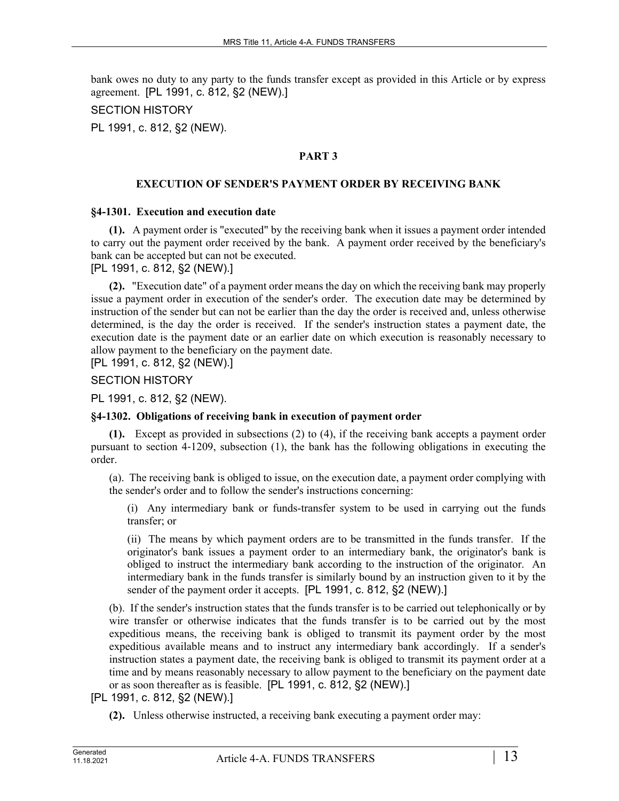bank owes no duty to any party to the funds transfer except as provided in this Article or by express agreement. [PL 1991, c. 812, §2 (NEW).]

# SECTION HISTORY

PL 1991, c. 812, §2 (NEW).

# **PART 3**

# **EXECUTION OF SENDER'S PAYMENT ORDER BY RECEIVING BANK**

#### **§4-1301. Execution and execution date**

**(1).** A payment order is "executed" by the receiving bank when it issues a payment order intended to carry out the payment order received by the bank. A payment order received by the beneficiary's bank can be accepted but can not be executed.

[PL 1991, c. 812, §2 (NEW).]

**(2).** "Execution date" of a payment order means the day on which the receiving bank may properly issue a payment order in execution of the sender's order. The execution date may be determined by instruction of the sender but can not be earlier than the day the order is received and, unless otherwise determined, is the day the order is received. If the sender's instruction states a payment date, the execution date is the payment date or an earlier date on which execution is reasonably necessary to allow payment to the beneficiary on the payment date.

[PL 1991, c. 812, §2 (NEW).]

SECTION HISTORY

PL 1991, c. 812, §2 (NEW).

#### **§4-1302. Obligations of receiving bank in execution of payment order**

**(1).** Except as provided in subsections (2) to (4), if the receiving bank accepts a payment order pursuant to section 4‑1209, subsection (1), the bank has the following obligations in executing the order.

(a). The receiving bank is obliged to issue, on the execution date, a payment order complying with the sender's order and to follow the sender's instructions concerning:

(i) Any intermediary bank or funds-transfer system to be used in carrying out the funds transfer; or

(ii) The means by which payment orders are to be transmitted in the funds transfer. If the originator's bank issues a payment order to an intermediary bank, the originator's bank is obliged to instruct the intermediary bank according to the instruction of the originator. An intermediary bank in the funds transfer is similarly bound by an instruction given to it by the sender of the payment order it accepts. [PL 1991, c. 812, §2 (NEW).]

(b). If the sender's instruction states that the funds transfer is to be carried out telephonically or by wire transfer or otherwise indicates that the funds transfer is to be carried out by the most expeditious means, the receiving bank is obliged to transmit its payment order by the most expeditious available means and to instruct any intermediary bank accordingly. If a sender's instruction states a payment date, the receiving bank is obliged to transmit its payment order at a time and by means reasonably necessary to allow payment to the beneficiary on the payment date or as soon thereafter as is feasible. [PL 1991, c. 812, §2 (NEW).]

[PL 1991, c. 812, §2 (NEW).]

**(2).** Unless otherwise instructed, a receiving bank executing a payment order may: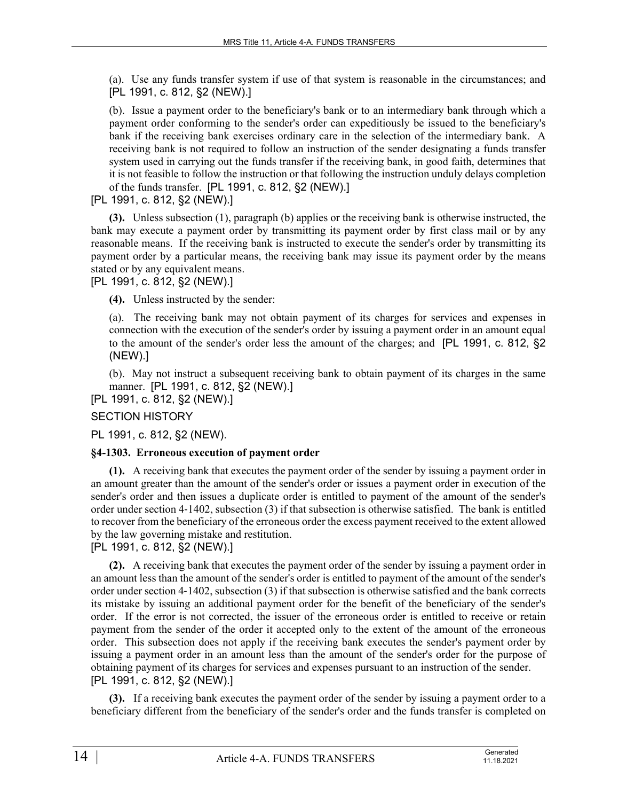(a). Use any funds transfer system if use of that system is reasonable in the circumstances; and [PL 1991, c. 812, §2 (NEW).]

(b). Issue a payment order to the beneficiary's bank or to an intermediary bank through which a payment order conforming to the sender's order can expeditiously be issued to the beneficiary's bank if the receiving bank exercises ordinary care in the selection of the intermediary bank. A receiving bank is not required to follow an instruction of the sender designating a funds transfer system used in carrying out the funds transfer if the receiving bank, in good faith, determines that it is not feasible to follow the instruction or that following the instruction unduly delays completion of the funds transfer. [PL 1991, c. 812, §2 (NEW).]

# [PL 1991, c. 812, §2 (NEW).]

**(3).** Unless subsection (1), paragraph (b) applies or the receiving bank is otherwise instructed, the bank may execute a payment order by transmitting its payment order by first class mail or by any reasonable means. If the receiving bank is instructed to execute the sender's order by transmitting its payment order by a particular means, the receiving bank may issue its payment order by the means stated or by any equivalent means.

[PL 1991, c. 812, §2 (NEW).]

**(4).** Unless instructed by the sender:

(a). The receiving bank may not obtain payment of its charges for services and expenses in connection with the execution of the sender's order by issuing a payment order in an amount equal to the amount of the sender's order less the amount of the charges; and [PL 1991, c. 812, §2 (NEW).]

(b). May not instruct a subsequent receiving bank to obtain payment of its charges in the same manner. [PL 1991, c. 812, §2 (NEW).]

[PL 1991, c. 812, §2 (NEW).]

# SECTION HISTORY

PL 1991, c. 812, §2 (NEW).

#### **§4-1303. Erroneous execution of payment order**

**(1).** A receiving bank that executes the payment order of the sender by issuing a payment order in an amount greater than the amount of the sender's order or issues a payment order in execution of the sender's order and then issues a duplicate order is entitled to payment of the amount of the sender's order under section 4‑1402, subsection (3) if that subsection is otherwise satisfied. The bank is entitled to recover from the beneficiary of the erroneous order the excess payment received to the extent allowed by the law governing mistake and restitution.

[PL 1991, c. 812, §2 (NEW).]

**(2).** A receiving bank that executes the payment order of the sender by issuing a payment order in an amount less than the amount of the sender's order is entitled to payment of the amount of the sender's order under section 4‑1402, subsection (3) if that subsection is otherwise satisfied and the bank corrects its mistake by issuing an additional payment order for the benefit of the beneficiary of the sender's order. If the error is not corrected, the issuer of the erroneous order is entitled to receive or retain payment from the sender of the order it accepted only to the extent of the amount of the erroneous order. This subsection does not apply if the receiving bank executes the sender's payment order by issuing a payment order in an amount less than the amount of the sender's order for the purpose of obtaining payment of its charges for services and expenses pursuant to an instruction of the sender. [PL 1991, c. 812, §2 (NEW).]

**(3).** If a receiving bank executes the payment order of the sender by issuing a payment order to a beneficiary different from the beneficiary of the sender's order and the funds transfer is completed on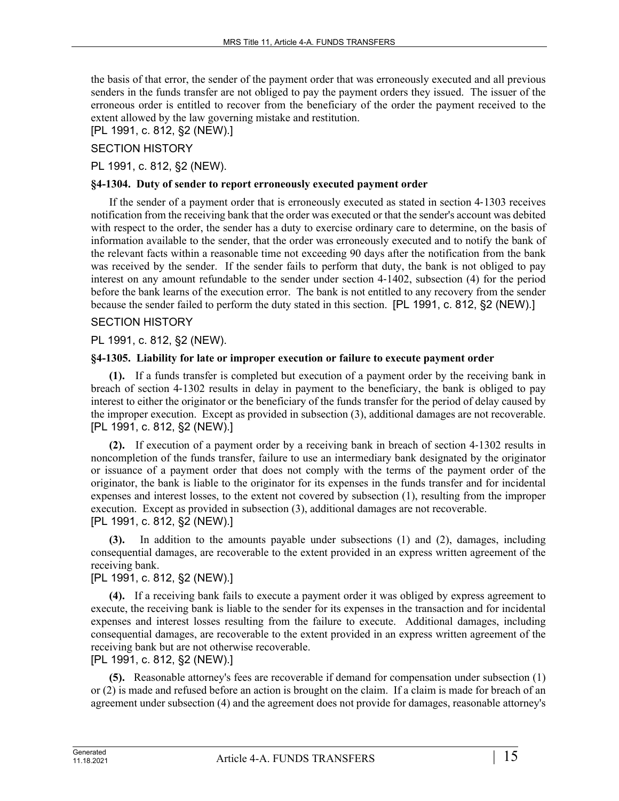the basis of that error, the sender of the payment order that was erroneously executed and all previous senders in the funds transfer are not obliged to pay the payment orders they issued. The issuer of the erroneous order is entitled to recover from the beneficiary of the order the payment received to the extent allowed by the law governing mistake and restitution.

# [PL 1991, c. 812, §2 (NEW).]

SECTION HISTORY

PL 1991, c. 812, §2 (NEW).

#### **§4-1304. Duty of sender to report erroneously executed payment order**

If the sender of a payment order that is erroneously executed as stated in section 4‑1303 receives notification from the receiving bank that the order was executed or that the sender's account was debited with respect to the order, the sender has a duty to exercise ordinary care to determine, on the basis of information available to the sender, that the order was erroneously executed and to notify the bank of the relevant facts within a reasonable time not exceeding 90 days after the notification from the bank was received by the sender. If the sender fails to perform that duty, the bank is not obliged to pay interest on any amount refundable to the sender under section 4‑1402, subsection (4) for the period before the bank learns of the execution error. The bank is not entitled to any recovery from the sender because the sender failed to perform the duty stated in this section. [PL 1991, c. 812, §2 (NEW).]

# SECTION HISTORY

PL 1991, c. 812, §2 (NEW).

# **§4-1305. Liability for late or improper execution or failure to execute payment order**

**(1).** If a funds transfer is completed but execution of a payment order by the receiving bank in breach of section 4‑1302 results in delay in payment to the beneficiary, the bank is obliged to pay interest to either the originator or the beneficiary of the funds transfer for the period of delay caused by the improper execution. Except as provided in subsection (3), additional damages are not recoverable. [PL 1991, c. 812, §2 (NEW).]

**(2).** If execution of a payment order by a receiving bank in breach of section 4‑1302 results in noncompletion of the funds transfer, failure to use an intermediary bank designated by the originator or issuance of a payment order that does not comply with the terms of the payment order of the originator, the bank is liable to the originator for its expenses in the funds transfer and for incidental expenses and interest losses, to the extent not covered by subsection (1), resulting from the improper execution. Except as provided in subsection (3), additional damages are not recoverable. [PL 1991, c. 812, §2 (NEW).]

**(3).** In addition to the amounts payable under subsections (1) and (2), damages, including consequential damages, are recoverable to the extent provided in an express written agreement of the receiving bank.

# [PL 1991, c. 812, §2 (NEW).]

**(4).** If a receiving bank fails to execute a payment order it was obliged by express agreement to execute, the receiving bank is liable to the sender for its expenses in the transaction and for incidental expenses and interest losses resulting from the failure to execute. Additional damages, including consequential damages, are recoverable to the extent provided in an express written agreement of the receiving bank but are not otherwise recoverable.

[PL 1991, c. 812, §2 (NEW).]

**(5).** Reasonable attorney's fees are recoverable if demand for compensation under subsection (1) or (2) is made and refused before an action is brought on the claim. If a claim is made for breach of an agreement under subsection (4) and the agreement does not provide for damages, reasonable attorney's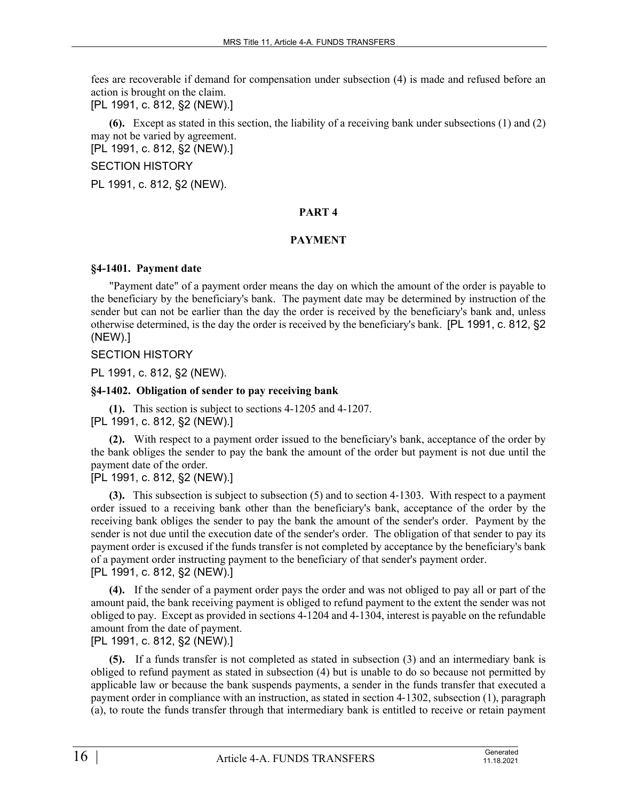fees are recoverable if demand for compensation under subsection (4) is made and refused before an action is brought on the claim.

[PL 1991, c. 812, §2 (NEW).]

**(6).** Except as stated in this section, the liability of a receiving bank under subsections (1) and (2) may not be varied by agreement.

[PL 1991, c. 812, §2 (NEW).]

SECTION HISTORY

PL 1991, c. 812, §2 (NEW).

#### **PART 4**

#### **PAYMENT**

#### **§4-1401. Payment date**

"Payment date" of a payment order means the day on which the amount of the order is payable to the beneficiary by the beneficiary's bank. The payment date may be determined by instruction of the sender but can not be earlier than the day the order is received by the beneficiary's bank and, unless otherwise determined, is the day the order is received by the beneficiary's bank. [PL 1991, c. 812, §2 (NEW).]

# SECTION HISTORY

PL 1991, c. 812, §2 (NEW).

# **§4-1402. Obligation of sender to pay receiving bank**

**(1).** This section is subject to sections 4-1205 and 4-1207. [PL 1991, c. 812, §2 (NEW).]

**(2).** With respect to a payment order issued to the beneficiary's bank, acceptance of the order by the bank obliges the sender to pay the bank the amount of the order but payment is not due until the payment date of the order.

[PL 1991, c. 812, §2 (NEW).]

**(3).** This subsection is subject to subsection (5) and to section 4‑1303. With respect to a payment order issued to a receiving bank other than the beneficiary's bank, acceptance of the order by the receiving bank obliges the sender to pay the bank the amount of the sender's order. Payment by the sender is not due until the execution date of the sender's order. The obligation of that sender to pay its payment order is excused if the funds transfer is not completed by acceptance by the beneficiary's bank of a payment order instructing payment to the beneficiary of that sender's payment order. [PL 1991, c. 812, §2 (NEW).]

**(4).** If the sender of a payment order pays the order and was not obliged to pay all or part of the amount paid, the bank receiving payment is obliged to refund payment to the extent the sender was not obliged to pay. Except as provided in sections 4-1204 and 4-1304, interest is payable on the refundable amount from the date of payment.

[PL 1991, c. 812, §2 (NEW).]

**(5).** If a funds transfer is not completed as stated in subsection (3) and an intermediary bank is obliged to refund payment as stated in subsection (4) but is unable to do so because not permitted by applicable law or because the bank suspends payments, a sender in the funds transfer that executed a payment order in compliance with an instruction, as stated in section 4‑1302, subsection (1), paragraph (a), to route the funds transfer through that intermediary bank is entitled to receive or retain payment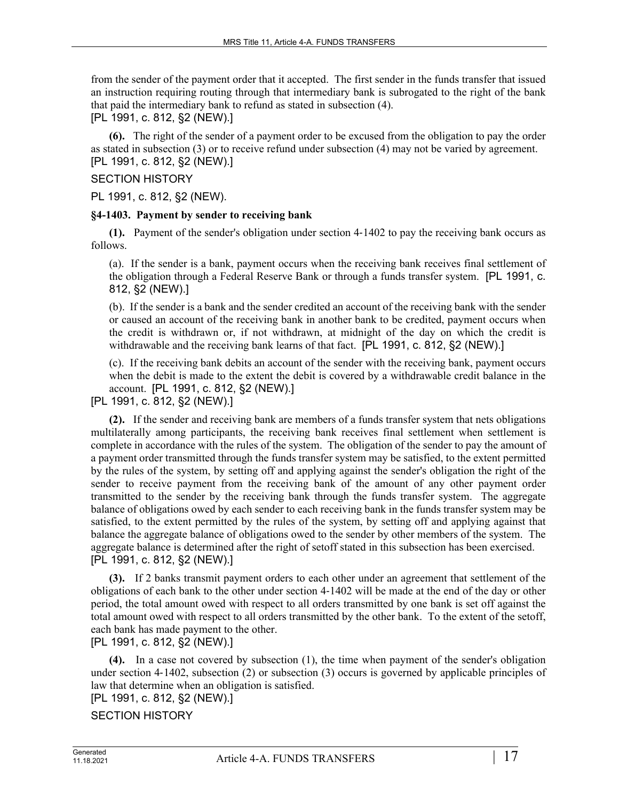from the sender of the payment order that it accepted. The first sender in the funds transfer that issued an instruction requiring routing through that intermediary bank is subrogated to the right of the bank that paid the intermediary bank to refund as stated in subsection (4).

[PL 1991, c. 812, §2 (NEW).]

**(6).** The right of the sender of a payment order to be excused from the obligation to pay the order as stated in subsection (3) or to receive refund under subsection (4) may not be varied by agreement. [PL 1991, c. 812, §2 (NEW).]

# SECTION HISTORY

PL 1991, c. 812, §2 (NEW).

#### **§4-1403. Payment by sender to receiving bank**

**(1).** Payment of the sender's obligation under section 4‑1402 to pay the receiving bank occurs as follows.

(a). If the sender is a bank, payment occurs when the receiving bank receives final settlement of the obligation through a Federal Reserve Bank or through a funds transfer system. [PL 1991, c. 812, §2 (NEW).]

(b). If the sender is a bank and the sender credited an account of the receiving bank with the sender or caused an account of the receiving bank in another bank to be credited, payment occurs when the credit is withdrawn or, if not withdrawn, at midnight of the day on which the credit is withdrawable and the receiving bank learns of that fact. [PL 1991, c. 812, §2 (NEW).]

(c). If the receiving bank debits an account of the sender with the receiving bank, payment occurs when the debit is made to the extent the debit is covered by a withdrawable credit balance in the account. [PL 1991, c. 812, §2 (NEW).]

[PL 1991, c. 812, §2 (NEW).]

**(2).** If the sender and receiving bank are members of a funds transfer system that nets obligations multilaterally among participants, the receiving bank receives final settlement when settlement is complete in accordance with the rules of the system. The obligation of the sender to pay the amount of a payment order transmitted through the funds transfer system may be satisfied, to the extent permitted by the rules of the system, by setting off and applying against the sender's obligation the right of the sender to receive payment from the receiving bank of the amount of any other payment order transmitted to the sender by the receiving bank through the funds transfer system. The aggregate balance of obligations owed by each sender to each receiving bank in the funds transfer system may be satisfied, to the extent permitted by the rules of the system, by setting off and applying against that balance the aggregate balance of obligations owed to the sender by other members of the system. The aggregate balance is determined after the right of setoff stated in this subsection has been exercised. [PL 1991, c. 812, §2 (NEW).]

**(3).** If 2 banks transmit payment orders to each other under an agreement that settlement of the obligations of each bank to the other under section 4‑1402 will be made at the end of the day or other period, the total amount owed with respect to all orders transmitted by one bank is set off against the total amount owed with respect to all orders transmitted by the other bank. To the extent of the setoff, each bank has made payment to the other.

[PL 1991, c. 812, §2 (NEW).]

**(4).** In a case not covered by subsection (1), the time when payment of the sender's obligation under section 4-1402, subsection (2) or subsection (3) occurs is governed by applicable principles of law that determine when an obligation is satisfied.

# [PL 1991, c. 812, §2 (NEW).]

# SECTION HISTORY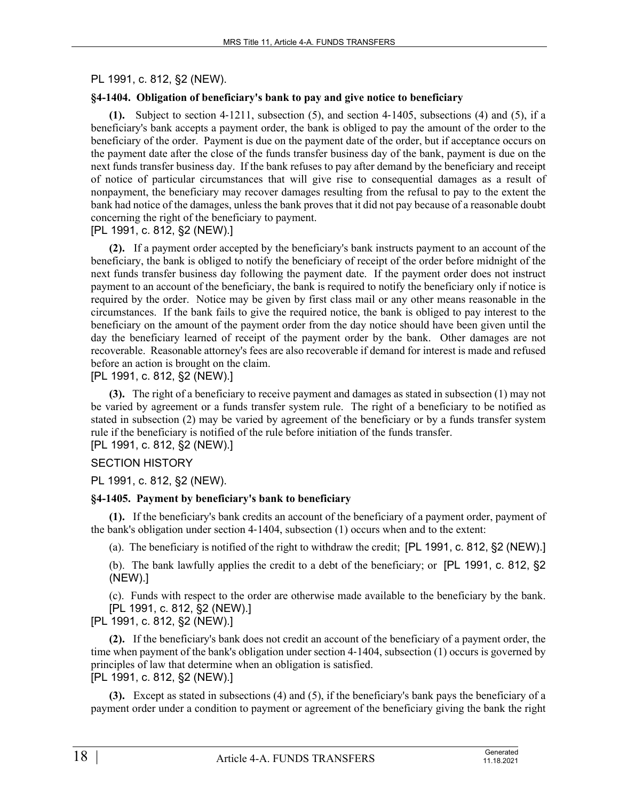# PL 1991, c. 812, §2 (NEW).

# **§4-1404. Obligation of beneficiary's bank to pay and give notice to beneficiary**

**(1).** Subject to section 4‑1211, subsection (5), and section 4‑1405, subsections (4) and (5), if a beneficiary's bank accepts a payment order, the bank is obliged to pay the amount of the order to the beneficiary of the order. Payment is due on the payment date of the order, but if acceptance occurs on the payment date after the close of the funds transfer business day of the bank, payment is due on the next funds transfer business day. If the bank refuses to pay after demand by the beneficiary and receipt of notice of particular circumstances that will give rise to consequential damages as a result of nonpayment, the beneficiary may recover damages resulting from the refusal to pay to the extent the bank had notice of the damages, unless the bank proves that it did not pay because of a reasonable doubt concerning the right of the beneficiary to payment.

# [PL 1991, c. 812, §2 (NEW).]

**(2).** If a payment order accepted by the beneficiary's bank instructs payment to an account of the beneficiary, the bank is obliged to notify the beneficiary of receipt of the order before midnight of the next funds transfer business day following the payment date. If the payment order does not instruct payment to an account of the beneficiary, the bank is required to notify the beneficiary only if notice is required by the order. Notice may be given by first class mail or any other means reasonable in the circumstances. If the bank fails to give the required notice, the bank is obliged to pay interest to the beneficiary on the amount of the payment order from the day notice should have been given until the day the beneficiary learned of receipt of the payment order by the bank. Other damages are not recoverable. Reasonable attorney's fees are also recoverable if demand for interest is made and refused before an action is brought on the claim.

# [PL 1991, c. 812, §2 (NEW).]

**(3).** The right of a beneficiary to receive payment and damages as stated in subsection (1) may not be varied by agreement or a funds transfer system rule. The right of a beneficiary to be notified as stated in subsection (2) may be varied by agreement of the beneficiary or by a funds transfer system rule if the beneficiary is notified of the rule before initiation of the funds transfer.

[PL 1991, c. 812, §2 (NEW).]

#### SECTION HISTORY

PL 1991, c. 812, §2 (NEW).

#### **§4-1405. Payment by beneficiary's bank to beneficiary**

**(1).** If the beneficiary's bank credits an account of the beneficiary of a payment order, payment of the bank's obligation under section 4‑1404, subsection (1) occurs when and to the extent:

(a). The beneficiary is notified of the right to withdraw the credit; [PL 1991, c. 812, §2 (NEW).]

(b). The bank lawfully applies the credit to a debt of the beneficiary; or [PL 1991, c. 812, §2 (NEW).]

(c). Funds with respect to the order are otherwise made available to the beneficiary by the bank.

[PL 1991, c. 812, §2 (NEW).] [PL 1991, c. 812, §2 (NEW).]

**(2).** If the beneficiary's bank does not credit an account of the beneficiary of a payment order, the time when payment of the bank's obligation under section 4‑1404, subsection (1) occurs is governed by principles of law that determine when an obligation is satisfied. [PL 1991, c. 812, §2 (NEW).]

**(3).** Except as stated in subsections (4) and (5), if the beneficiary's bank pays the beneficiary of a payment order under a condition to payment or agreement of the beneficiary giving the bank the right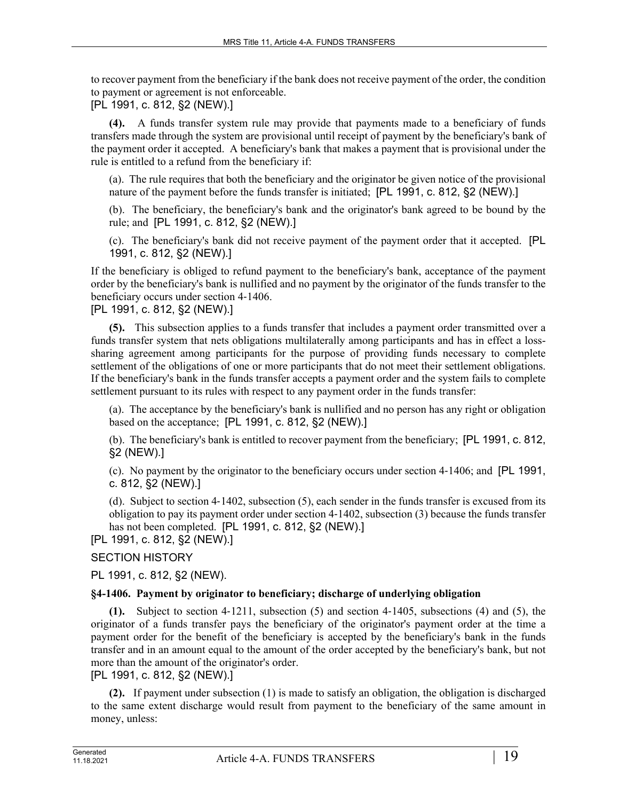to recover payment from the beneficiary if the bank does not receive payment of the order, the condition to payment or agreement is not enforceable.

[PL 1991, c. 812, §2 (NEW).]

**(4).** A funds transfer system rule may provide that payments made to a beneficiary of funds transfers made through the system are provisional until receipt of payment by the beneficiary's bank of the payment order it accepted. A beneficiary's bank that makes a payment that is provisional under the rule is entitled to a refund from the beneficiary if:

(a). The rule requires that both the beneficiary and the originator be given notice of the provisional nature of the payment before the funds transfer is initiated; [PL 1991, c. 812, §2 (NEW).]

(b). The beneficiary, the beneficiary's bank and the originator's bank agreed to be bound by the rule; and [PL 1991, c. 812, §2 (NEW).]

(c). The beneficiary's bank did not receive payment of the payment order that it accepted. [PL 1991, c. 812, §2 (NEW).]

If the beneficiary is obliged to refund payment to the beneficiary's bank, acceptance of the payment order by the beneficiary's bank is nullified and no payment by the originator of the funds transfer to the beneficiary occurs under section 4‑1406.

[PL 1991, c. 812, §2 (NEW).]

**(5).** This subsection applies to a funds transfer that includes a payment order transmitted over a funds transfer system that nets obligations multilaterally among participants and has in effect a losssharing agreement among participants for the purpose of providing funds necessary to complete settlement of the obligations of one or more participants that do not meet their settlement obligations. If the beneficiary's bank in the funds transfer accepts a payment order and the system fails to complete settlement pursuant to its rules with respect to any payment order in the funds transfer:

(a). The acceptance by the beneficiary's bank is nullified and no person has any right or obligation based on the acceptance; [PL 1991, c. 812, §2 (NEW).]

(b). The beneficiary's bank is entitled to recover payment from the beneficiary; [PL 1991, c. 812, §2 (NEW).]

(c). No payment by the originator to the beneficiary occurs under section 4‑1406; and [PL 1991, c. 812, §2 (NEW).]

(d). Subject to section 4‑1402, subsection (5), each sender in the funds transfer is excused from its obligation to pay its payment order under section 4‑1402, subsection (3) because the funds transfer has not been completed. [PL 1991, c. 812, §2 (NEW).]

[PL 1991, c. 812, §2 (NEW).]

# SECTION HISTORY

PL 1991, c. 812, §2 (NEW).

# **§4-1406. Payment by originator to beneficiary; discharge of underlying obligation**

**(1).** Subject to section 4‑1211, subsection (5) and section 4‑1405, subsections (4) and (5), the originator of a funds transfer pays the beneficiary of the originator's payment order at the time a payment order for the benefit of the beneficiary is accepted by the beneficiary's bank in the funds transfer and in an amount equal to the amount of the order accepted by the beneficiary's bank, but not more than the amount of the originator's order.

[PL 1991, c. 812, §2 (NEW).]

**(2).** If payment under subsection (1) is made to satisfy an obligation, the obligation is discharged to the same extent discharge would result from payment to the beneficiary of the same amount in money, unless: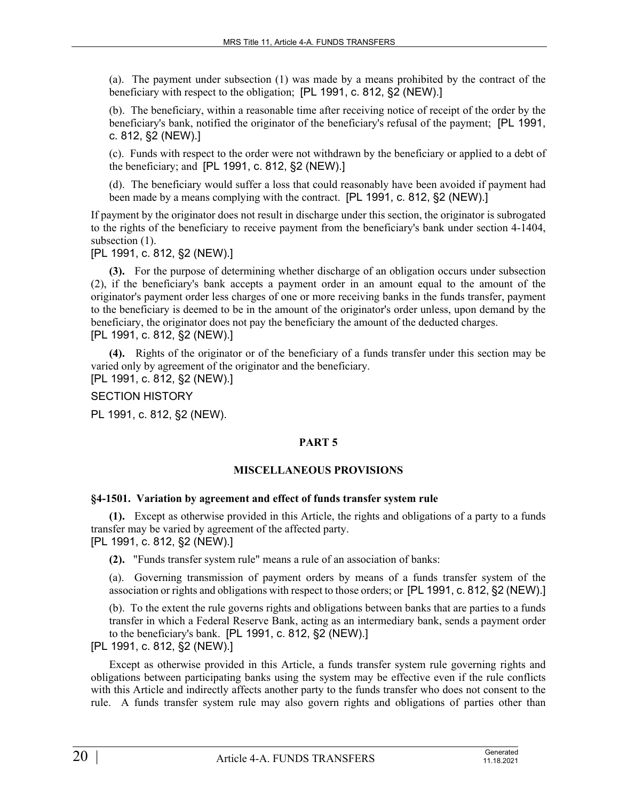(a). The payment under subsection (1) was made by a means prohibited by the contract of the beneficiary with respect to the obligation; [PL 1991, c. 812, §2 (NEW).]

(b). The beneficiary, within a reasonable time after receiving notice of receipt of the order by the beneficiary's bank, notified the originator of the beneficiary's refusal of the payment; [PL 1991, c. 812, §2 (NEW).]

(c). Funds with respect to the order were not withdrawn by the beneficiary or applied to a debt of the beneficiary; and [PL 1991, c. 812, §2 (NEW).]

(d). The beneficiary would suffer a loss that could reasonably have been avoided if payment had been made by a means complying with the contract. [PL 1991, c. 812, §2 (NEW).]

If payment by the originator does not result in discharge under this section, the originator is subrogated to the rights of the beneficiary to receive payment from the beneficiary's bank under section 4-1404, subsection  $(1)$ .

[PL 1991, c. 812, §2 (NEW).]

**(3).** For the purpose of determining whether discharge of an obligation occurs under subsection (2), if the beneficiary's bank accepts a payment order in an amount equal to the amount of the originator's payment order less charges of one or more receiving banks in the funds transfer, payment to the beneficiary is deemed to be in the amount of the originator's order unless, upon demand by the beneficiary, the originator does not pay the beneficiary the amount of the deducted charges. [PL 1991, c. 812, §2 (NEW).]

**(4).** Rights of the originator or of the beneficiary of a funds transfer under this section may be varied only by agreement of the originator and the beneficiary.

[PL 1991, c. 812, §2 (NEW).]

SECTION HISTORY

PL 1991, c. 812, §2 (NEW).

# **PART 5**

#### **MISCELLANEOUS PROVISIONS**

#### **§4-1501. Variation by agreement and effect of funds transfer system rule**

**(1).** Except as otherwise provided in this Article, the rights and obligations of a party to a funds transfer may be varied by agreement of the affected party. [PL 1991, c. 812, §2 (NEW).]

**(2).** "Funds transfer system rule" means a rule of an association of banks:

(a). Governing transmission of payment orders by means of a funds transfer system of the association or rights and obligations with respect to those orders; or [PL 1991, c. 812, §2 (NEW).]

(b). To the extent the rule governs rights and obligations between banks that are parties to a funds transfer in which a Federal Reserve Bank, acting as an intermediary bank, sends a payment order to the beneficiary's bank. [PL 1991, c. 812, §2 (NEW).]

[PL 1991, c. 812, §2 (NEW).]

Except as otherwise provided in this Article, a funds transfer system rule governing rights and obligations between participating banks using the system may be effective even if the rule conflicts with this Article and indirectly affects another party to the funds transfer who does not consent to the rule. A funds transfer system rule may also govern rights and obligations of parties other than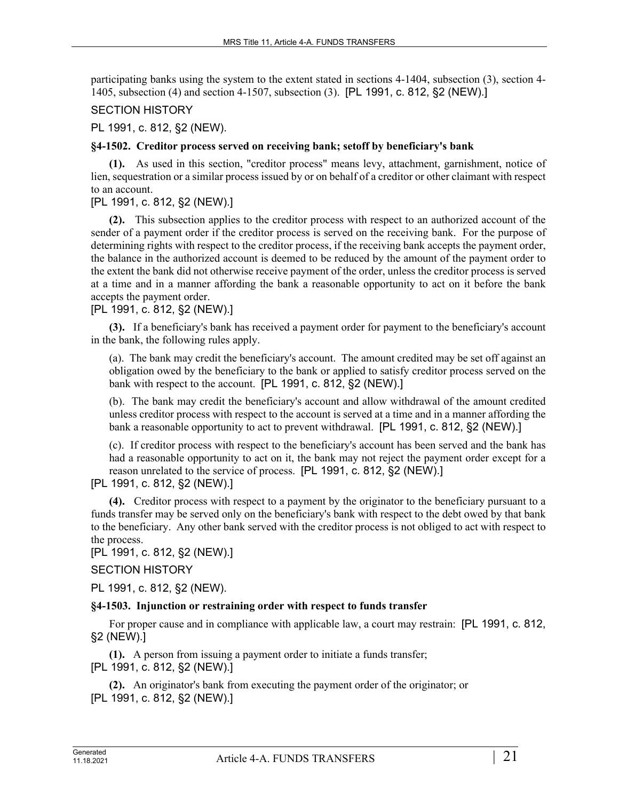participating banks using the system to the extent stated in sections 4-1404, subsection (3), section 4- 1405, subsection (4) and section 4-1507, subsection (3). [PL 1991, c. 812, §2 (NEW).]

# SECTION HISTORY

PL 1991, c. 812, §2 (NEW).

#### **§4-1502. Creditor process served on receiving bank; setoff by beneficiary's bank**

**(1).** As used in this section, "creditor process" means levy, attachment, garnishment, notice of lien, sequestration or a similar process issued by or on behalf of a creditor or other claimant with respect to an account.

# [PL 1991, c. 812, §2 (NEW).]

**(2).** This subsection applies to the creditor process with respect to an authorized account of the sender of a payment order if the creditor process is served on the receiving bank. For the purpose of determining rights with respect to the creditor process, if the receiving bank accepts the payment order, the balance in the authorized account is deemed to be reduced by the amount of the payment order to the extent the bank did not otherwise receive payment of the order, unless the creditor process is served at a time and in a manner affording the bank a reasonable opportunity to act on it before the bank accepts the payment order.

# [PL 1991, c. 812, §2 (NEW).]

**(3).** If a beneficiary's bank has received a payment order for payment to the beneficiary's account in the bank, the following rules apply.

(a). The bank may credit the beneficiary's account. The amount credited may be set off against an obligation owed by the beneficiary to the bank or applied to satisfy creditor process served on the bank with respect to the account. [PL 1991, c. 812, §2 (NEW).]

(b). The bank may credit the beneficiary's account and allow withdrawal of the amount credited unless creditor process with respect to the account is served at a time and in a manner affording the bank a reasonable opportunity to act to prevent withdrawal. [PL 1991, c. 812, §2 (NEW).]

(c). If creditor process with respect to the beneficiary's account has been served and the bank has had a reasonable opportunity to act on it, the bank may not reject the payment order except for a reason unrelated to the service of process. [PL 1991, c. 812, §2 (NEW).]

# [PL 1991, c. 812, §2 (NEW).]

**(4).** Creditor process with respect to a payment by the originator to the beneficiary pursuant to a funds transfer may be served only on the beneficiary's bank with respect to the debt owed by that bank to the beneficiary. Any other bank served with the creditor process is not obliged to act with respect to the process.

[PL 1991, c. 812, §2 (NEW).]

# SECTION HISTORY

PL 1991, c. 812, §2 (NEW).

# **§4-1503. Injunction or restraining order with respect to funds transfer**

For proper cause and in compliance with applicable law, a court may restrain: [PL 1991, c. 812, §2 (NEW).]

**(1).** A person from issuing a payment order to initiate a funds transfer; [PL 1991, c. 812, §2 (NEW).]

**(2).** An originator's bank from executing the payment order of the originator; or [PL 1991, c. 812, §2 (NEW).]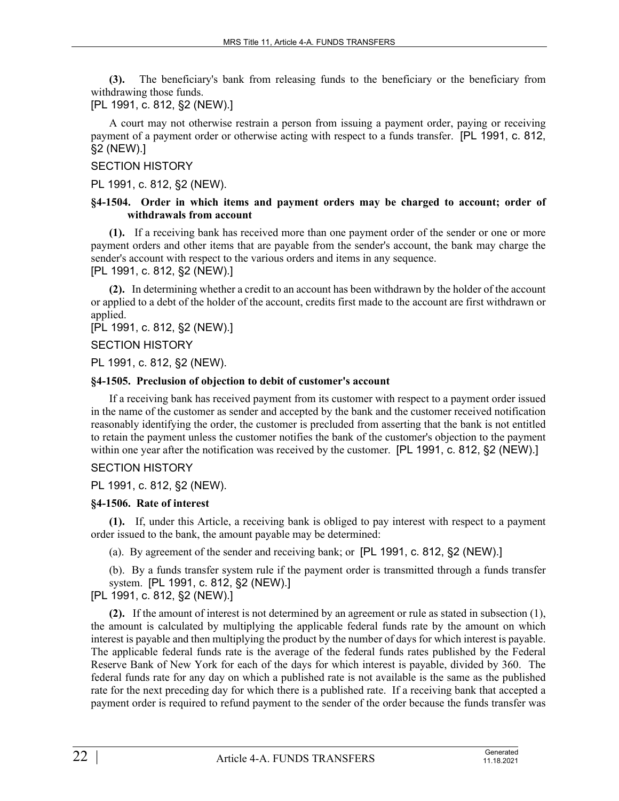**(3).** The beneficiary's bank from releasing funds to the beneficiary or the beneficiary from withdrawing those funds.

[PL 1991, c. 812, §2 (NEW).]

A court may not otherwise restrain a person from issuing a payment order, paying or receiving payment of a payment order or otherwise acting with respect to a funds transfer. [PL 1991, c. 812, §2 (NEW).]

# SECTION HISTORY

PL 1991, c. 812, §2 (NEW).

#### **§4-1504. Order in which items and payment orders may be charged to account; order of withdrawals from account**

**(1).** If a receiving bank has received more than one payment order of the sender or one or more payment orders and other items that are payable from the sender's account, the bank may charge the sender's account with respect to the various orders and items in any sequence.

[PL 1991, c. 812, §2 (NEW).]

**(2).** In determining whether a credit to an account has been withdrawn by the holder of the account or applied to a debt of the holder of the account, credits first made to the account are first withdrawn or applied.

[PL 1991, c. 812, §2 (NEW).]

SECTION HISTORY

PL 1991, c. 812, §2 (NEW).

#### **§4-1505. Preclusion of objection to debit of customer's account**

If a receiving bank has received payment from its customer with respect to a payment order issued in the name of the customer as sender and accepted by the bank and the customer received notification reasonably identifying the order, the customer is precluded from asserting that the bank is not entitled to retain the payment unless the customer notifies the bank of the customer's objection to the payment within one year after the notification was received by the customer. [PL 1991, c. 812, §2 (NEW).]

# SECTION HISTORY

PL 1991, c. 812, §2 (NEW).

#### **§4-1506. Rate of interest**

**(1).** If, under this Article, a receiving bank is obliged to pay interest with respect to a payment order issued to the bank, the amount payable may be determined:

(a). By agreement of the sender and receiving bank; or [PL 1991, c. 812, §2 (NEW).]

(b). By a funds transfer system rule if the payment order is transmitted through a funds transfer system. [PL 1991, c. 812, §2 (NEW).]

# [PL 1991, c. 812, §2 (NEW).]

**(2).** If the amount of interest is not determined by an agreement or rule as stated in subsection (1), the amount is calculated by multiplying the applicable federal funds rate by the amount on which interest is payable and then multiplying the product by the number of days for which interest is payable. The applicable federal funds rate is the average of the federal funds rates published by the Federal Reserve Bank of New York for each of the days for which interest is payable, divided by 360. The federal funds rate for any day on which a published rate is not available is the same as the published rate for the next preceding day for which there is a published rate. If a receiving bank that accepted a payment order is required to refund payment to the sender of the order because the funds transfer was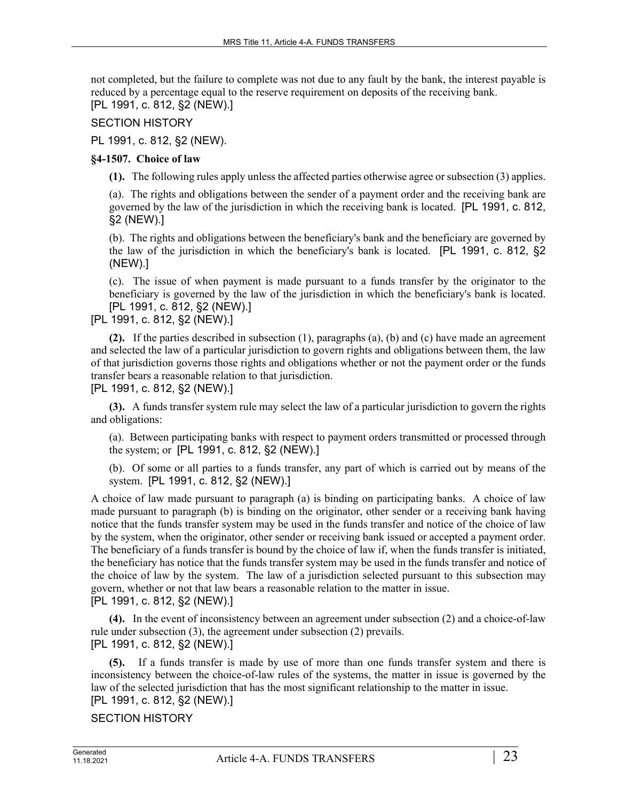not completed, but the failure to complete was not due to any fault by the bank, the interest payable is reduced by a percentage equal to the reserve requirement on deposits of the receiving bank. [PL 1991, c. 812, §2 (NEW).]

SECTION HISTORY

PL 1991, c. 812, §2 (NEW).

# **§4-1507. Choice of law**

**(1).** The following rules apply unless the affected parties otherwise agree or subsection (3) applies.

(a). The rights and obligations between the sender of a payment order and the receiving bank are governed by the law of the jurisdiction in which the receiving bank is located. [PL 1991, c. 812, §2 (NEW).]

(b). The rights and obligations between the beneficiary's bank and the beneficiary are governed by the law of the jurisdiction in which the beneficiary's bank is located. [PL 1991, c. 812, §2 (NEW).]

(c). The issue of when payment is made pursuant to a funds transfer by the originator to the beneficiary is governed by the law of the jurisdiction in which the beneficiary's bank is located. [PL 1991, c. 812, §2 (NEW).]

[PL 1991, c. 812, §2 (NEW).]

**(2).** If the parties described in subsection (1), paragraphs (a), (b) and (c) have made an agreement and selected the law of a particular jurisdiction to govern rights and obligations between them, the law of that jurisdiction governs those rights and obligations whether or not the payment order or the funds transfer bears a reasonable relation to that jurisdiction.

[PL 1991, c. 812, §2 (NEW).]

**(3).** A funds transfer system rule may select the law of a particular jurisdiction to govern the rights and obligations:

(a). Between participating banks with respect to payment orders transmitted or processed through the system; or [PL 1991, c. 812, §2 (NEW).]

(b). Of some or all parties to a funds transfer, any part of which is carried out by means of the system. [PL 1991, c. 812, §2 (NEW).]

A choice of law made pursuant to paragraph (a) is binding on participating banks. A choice of law made pursuant to paragraph (b) is binding on the originator, other sender or a receiving bank having notice that the funds transfer system may be used in the funds transfer and notice of the choice of law by the system, when the originator, other sender or receiving bank issued or accepted a payment order. The beneficiary of a funds transfer is bound by the choice of law if, when the funds transfer is initiated, the beneficiary has notice that the funds transfer system may be used in the funds transfer and notice of the choice of law by the system. The law of a jurisdiction selected pursuant to this subsection may govern, whether or not that law bears a reasonable relation to the matter in issue. [PL 1991, c. 812, §2 (NEW).]

**(4).** In the event of inconsistency between an agreement under subsection (2) and a choice-of-law rule under subsection (3), the agreement under subsection (2) prevails. [PL 1991, c. 812, §2 (NEW).]

**(5).** If a funds transfer is made by use of more than one funds transfer system and there is inconsistency between the choice-of-law rules of the systems, the matter in issue is governed by the law of the selected jurisdiction that has the most significant relationship to the matter in issue. [PL 1991, c. 812, §2 (NEW).]

SECTION HISTORY